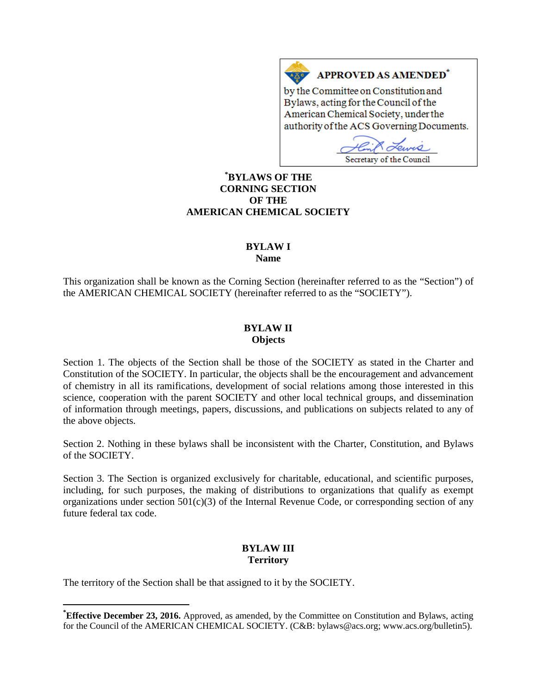## **APPROVED AS AMENDED<sup>\*</sup>**

by the Committee on Constitution and Bylaws, acting for the Council of the American Chemical Society, under the authority of the ACS Governing Documents.

 $O_{IMAC}$ Secretary of the Council

## **[\\*](#page-0-0) BYLAWS OF THE CORNING SECTION OF THE AMERICAN CHEMICAL SOCIETY**

 $A \underline{X}$ 

# **BYLAW I**

**Name**

This organization shall be known as the Corning Section (hereinafter referred to as the "Section") of the AMERICAN CHEMICAL SOCIETY (hereinafter referred to as the "SOCIETY").

#### **BYLAW II Objects**

Section 1. The objects of the Section shall be those of the SOCIETY as stated in the Charter and Constitution of the SOCIETY. In particular, the objects shall be the encouragement and advancement of chemistry in all its ramifications, development of social relations among those interested in this science, cooperation with the parent SOCIETY and other local technical groups, and dissemination of information through meetings, papers, discussions, and publications on subjects related to any of the above objects.

Section 2. Nothing in these bylaws shall be inconsistent with the Charter, Constitution, and Bylaws of the SOCIETY.

Section 3. The Section is organized exclusively for charitable, educational, and scientific purposes, including, for such purposes, the making of distributions to organizations that qualify as exempt organizations under section  $501(c)(3)$  of the Internal Revenue Code, or corresponding section of any future federal tax code.

#### **BYLAW III Territory**

The territory of the Section shall be that assigned to it by the SOCIETY.

<span id="page-0-0"></span>**\* Effective December 23, 2016.** Approved, as amended, by the Committee on Constitution and Bylaws, acting for the Council of the AMERICAN CHEMICAL SOCIETY. (C&B: bylaws@acs.org; www.acs.org/bulletin5).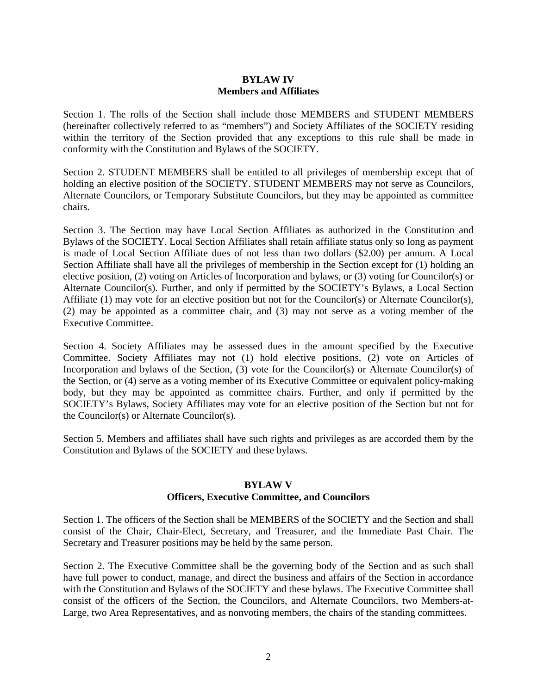#### **BYLAW IV Members and Affiliates**

Section 1. The rolls of the Section shall include those MEMBERS and STUDENT MEMBERS (hereinafter collectively referred to as "members") and Society Affiliates of the SOCIETY residing within the territory of the Section provided that any exceptions to this rule shall be made in conformity with the Constitution and Bylaws of the SOCIETY.

Section 2. STUDENT MEMBERS shall be entitled to all privileges of membership except that of holding an elective position of the SOCIETY. STUDENT MEMBERS may not serve as Councilors, Alternate Councilors, or Temporary Substitute Councilors, but they may be appointed as committee chairs.

Section 3. The Section may have Local Section Affiliates as authorized in the Constitution and Bylaws of the SOCIETY. Local Section Affiliates shall retain affiliate status only so long as payment is made of Local Section Affiliate dues of not less than two dollars (\$2.00) per annum. A Local Section Affiliate shall have all the privileges of membership in the Section except for (1) holding an elective position, (2) voting on Articles of Incorporation and bylaws, or (3) voting for Councilor(s) or Alternate Councilor(s). Further, and only if permitted by the SOCIETY's Bylaws, a Local Section Affiliate (1) may vote for an elective position but not for the Councilor(s) or Alternate Councilor(s), (2) may be appointed as a committee chair, and (3) may not serve as a voting member of the Executive Committee.

Section 4. Society Affiliates may be assessed dues in the amount specified by the Executive Committee. Society Affiliates may not (1) hold elective positions, (2) vote on Articles of Incorporation and bylaws of the Section, (3) vote for the Councilor(s) or Alternate Councilor(s) of the Section, or (4) serve as a voting member of its Executive Committee or equivalent policy-making body, but they may be appointed as committee chairs. Further, and only if permitted by the SOCIETY's Bylaws, Society Affiliates may vote for an elective position of the Section but not for the Councilor(s) or Alternate Councilor(s).

Section 5. Members and affiliates shall have such rights and privileges as are accorded them by the Constitution and Bylaws of the SOCIETY and these bylaws.

#### **BYLAW V**

#### **Officers, Executive Committee, and Councilors**

Section 1. The officers of the Section shall be MEMBERS of the SOCIETY and the Section and shall consist of the Chair, Chair-Elect, Secretary, and Treasurer, and the Immediate Past Chair. The Secretary and Treasurer positions may be held by the same person.

Section 2. The Executive Committee shall be the governing body of the Section and as such shall have full power to conduct, manage, and direct the business and affairs of the Section in accordance with the Constitution and Bylaws of the SOCIETY and these bylaws. The Executive Committee shall consist of the officers of the Section, the Councilors, and Alternate Councilors, two Members-at-Large, two Area Representatives, and as nonvoting members, the chairs of the standing committees.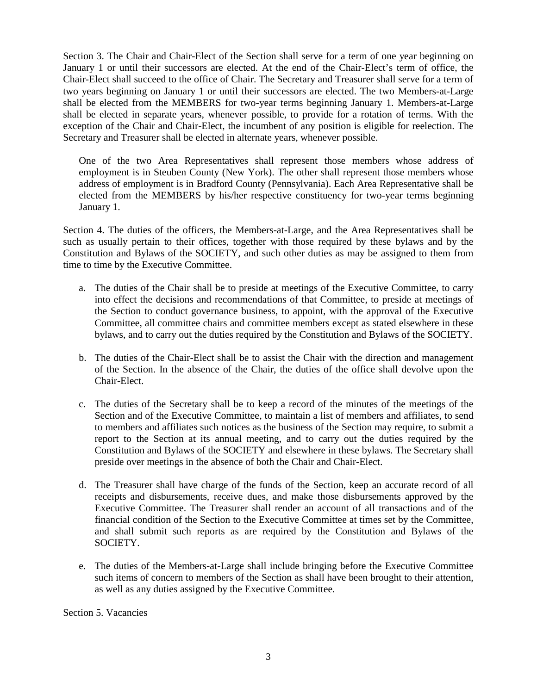Section 3. The Chair and Chair-Elect of the Section shall serve for a term of one year beginning on January 1 or until their successors are elected. At the end of the Chair-Elect's term of office, the Chair-Elect shall succeed to the office of Chair. The Secretary and Treasurer shall serve for a term of two years beginning on January 1 or until their successors are elected. The two Members-at-Large shall be elected from the MEMBERS for two-year terms beginning January 1. Members-at-Large shall be elected in separate years, whenever possible, to provide for a rotation of terms. With the exception of the Chair and Chair-Elect, the incumbent of any position is eligible for reelection. The Secretary and Treasurer shall be elected in alternate years, whenever possible.

One of the two Area Representatives shall represent those members whose address of employment is in Steuben County (New York). The other shall represent those members whose address of employment is in Bradford County (Pennsylvania). Each Area Representative shall be elected from the MEMBERS by his/her respective constituency for two-year terms beginning January 1.

Section 4. The duties of the officers, the Members-at-Large, and the Area Representatives shall be such as usually pertain to their offices, together with those required by these bylaws and by the Constitution and Bylaws of the SOCIETY, and such other duties as may be assigned to them from time to time by the Executive Committee.

- a. The duties of the Chair shall be to preside at meetings of the Executive Committee, to carry into effect the decisions and recommendations of that Committee, to preside at meetings of the Section to conduct governance business, to appoint, with the approval of the Executive Committee, all committee chairs and committee members except as stated elsewhere in these bylaws, and to carry out the duties required by the Constitution and Bylaws of the SOCIETY.
- b. The duties of the Chair-Elect shall be to assist the Chair with the direction and management of the Section. In the absence of the Chair, the duties of the office shall devolve upon the Chair-Elect.
- c. The duties of the Secretary shall be to keep a record of the minutes of the meetings of the Section and of the Executive Committee, to maintain a list of members and affiliates, to send to members and affiliates such notices as the business of the Section may require, to submit a report to the Section at its annual meeting, and to carry out the duties required by the Constitution and Bylaws of the SOCIETY and elsewhere in these bylaws. The Secretary shall preside over meetings in the absence of both the Chair and Chair-Elect.
- d. The Treasurer shall have charge of the funds of the Section, keep an accurate record of all receipts and disbursements, receive dues, and make those disbursements approved by the Executive Committee. The Treasurer shall render an account of all transactions and of the financial condition of the Section to the Executive Committee at times set by the Committee, and shall submit such reports as are required by the Constitution and Bylaws of the SOCIETY.
- e. The duties of the Members-at-Large shall include bringing before the Executive Committee such items of concern to members of the Section as shall have been brought to their attention, as well as any duties assigned by the Executive Committee.

Section 5. Vacancies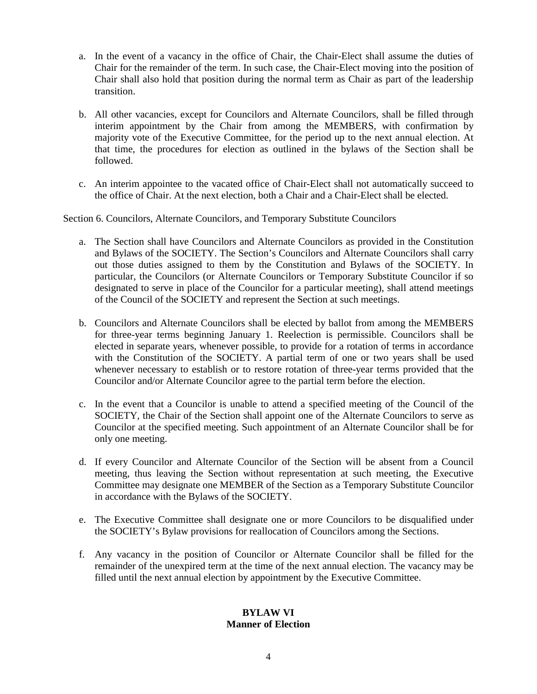- a. In the event of a vacancy in the office of Chair, the Chair-Elect shall assume the duties of Chair for the remainder of the term. In such case, the Chair-Elect moving into the position of Chair shall also hold that position during the normal term as Chair as part of the leadership transition.
- b. All other vacancies, except for Councilors and Alternate Councilors, shall be filled through interim appointment by the Chair from among the MEMBERS, with confirmation by majority vote of the Executive Committee, for the period up to the next annual election. At that time, the procedures for election as outlined in the bylaws of the Section shall be followed.
- c. An interim appointee to the vacated office of Chair-Elect shall not automatically succeed to the office of Chair. At the next election, both a Chair and a Chair-Elect shall be elected.

Section 6. Councilors, Alternate Councilors, and Temporary Substitute Councilors

- a. The Section shall have Councilors and Alternate Councilors as provided in the Constitution and Bylaws of the SOCIETY. The Section's Councilors and Alternate Councilors shall carry out those duties assigned to them by the Constitution and Bylaws of the SOCIETY. In particular, the Councilors (or Alternate Councilors or Temporary Substitute Councilor if so designated to serve in place of the Councilor for a particular meeting), shall attend meetings of the Council of the SOCIETY and represent the Section at such meetings.
- b. Councilors and Alternate Councilors shall be elected by ballot from among the MEMBERS for three-year terms beginning January 1. Reelection is permissible. Councilors shall be elected in separate years, whenever possible, to provide for a rotation of terms in accordance with the Constitution of the SOCIETY. A partial term of one or two years shall be used whenever necessary to establish or to restore rotation of three-year terms provided that the Councilor and/or Alternate Councilor agree to the partial term before the election.
- c. In the event that a Councilor is unable to attend a specified meeting of the Council of the SOCIETY, the Chair of the Section shall appoint one of the Alternate Councilors to serve as Councilor at the specified meeting. Such appointment of an Alternate Councilor shall be for only one meeting.
- d. If every Councilor and Alternate Councilor of the Section will be absent from a Council meeting, thus leaving the Section without representation at such meeting, the Executive Committee may designate one MEMBER of the Section as a Temporary Substitute Councilor in accordance with the Bylaws of the SOCIETY.
- e. The Executive Committee shall designate one or more Councilors to be disqualified under the SOCIETY's Bylaw provisions for reallocation of Councilors among the Sections.
- f. Any vacancy in the position of Councilor or Alternate Councilor shall be filled for the remainder of the unexpired term at the time of the next annual election. The vacancy may be filled until the next annual election by appointment by the Executive Committee.

## **BYLAW VI Manner of Election**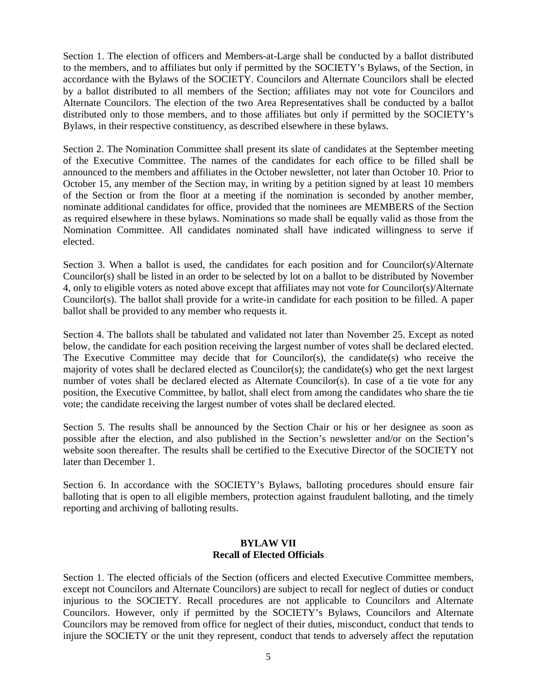Section 1. The election of officers and Members-at-Large shall be conducted by a ballot distributed to the members, and to affiliates but only if permitted by the SOCIETY's Bylaws, of the Section, in accordance with the Bylaws of the SOCIETY. Councilors and Alternate Councilors shall be elected by a ballot distributed to all members of the Section; affiliates may not vote for Councilors and Alternate Councilors. The election of the two Area Representatives shall be conducted by a ballot distributed only to those members, and to those affiliates but only if permitted by the SOCIETY's Bylaws, in their respective constituency, as described elsewhere in these bylaws.

Section 2. The Nomination Committee shall present its slate of candidates at the September meeting of the Executive Committee. The names of the candidates for each office to be filled shall be announced to the members and affiliates in the October newsletter, not later than October 10. Prior to October 15, any member of the Section may, in writing by a petition signed by at least 10 members of the Section or from the floor at a meeting if the nomination is seconded by another member, nominate additional candidates for office, provided that the nominees are MEMBERS of the Section as required elsewhere in these bylaws. Nominations so made shall be equally valid as those from the Nomination Committee. All candidates nominated shall have indicated willingness to serve if elected.

Section 3. When a ballot is used, the candidates for each position and for Councilor(s)/Alternate Councilor(s) shall be listed in an order to be selected by lot on a ballot to be distributed by November 4, only to eligible voters as noted above except that affiliates may not vote for Councilor(s)/Alternate Councilor(s). The ballot shall provide for a write-in candidate for each position to be filled. A paper ballot shall be provided to any member who requests it.

Section 4. The ballots shall be tabulated and validated not later than November 25. Except as noted below, the candidate for each position receiving the largest number of votes shall be declared elected. The Executive Committee may decide that for Councilor(s), the candidate(s) who receive the majority of votes shall be declared elected as Councilor(s); the candidate(s) who get the next largest number of votes shall be declared elected as Alternate Councilor(s). In case of a tie vote for any position, the Executive Committee, by ballot, shall elect from among the candidates who share the tie vote; the candidate receiving the largest number of votes shall be declared elected.

Section 5. The results shall be announced by the Section Chair or his or her designee as soon as possible after the election, and also published in the Section's newsletter and/or on the Section's website soon thereafter. The results shall be certified to the Executive Director of the SOCIETY not later than December 1.

Section 6. In accordance with the SOCIETY's Bylaws, balloting procedures should ensure fair balloting that is open to all eligible members, protection against fraudulent balloting, and the timely reporting and archiving of balloting results.

#### **BYLAW VII Recall of Elected Officials**

Section 1. The elected officials of the Section (officers and elected Executive Committee members, except not Councilors and Alternate Councilors) are subject to recall for neglect of duties or conduct injurious to the SOCIETY. Recall procedures are not applicable to Councilors and Alternate Councilors. However, only if permitted by the SOCIETY's Bylaws, Councilors and Alternate Councilors may be removed from office for neglect of their duties, misconduct, conduct that tends to injure the SOCIETY or the unit they represent, conduct that tends to adversely affect the reputation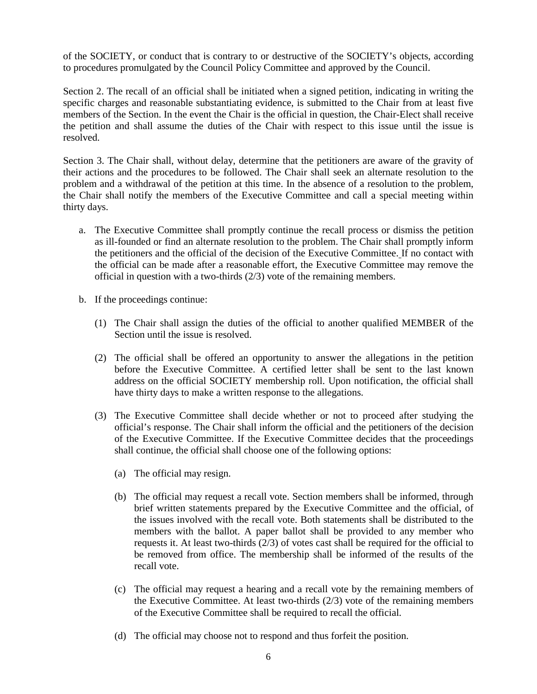of the SOCIETY, or conduct that is contrary to or destructive of the SOCIETY's objects, according to procedures promulgated by the Council Policy Committee and approved by the Council.

Section 2. The recall of an official shall be initiated when a signed petition, indicating in writing the specific charges and reasonable substantiating evidence, is submitted to the Chair from at least five members of the Section. In the event the Chair is the official in question, the Chair-Elect shall receive the petition and shall assume the duties of the Chair with respect to this issue until the issue is resolved.

Section 3. The Chair shall, without delay, determine that the petitioners are aware of the gravity of their actions and the procedures to be followed. The Chair shall seek an alternate resolution to the problem and a withdrawal of the petition at this time. In the absence of a resolution to the problem, the Chair shall notify the members of the Executive Committee and call a special meeting within thirty days.

- a. The Executive Committee shall promptly continue the recall process or dismiss the petition as ill-founded or find an alternate resolution to the problem. The Chair shall promptly inform the petitioners and the official of the decision of the Executive Committee. If no contact with the official can be made after a reasonable effort, the Executive Committee may remove the official in question with a two-thirds (2/3) vote of the remaining members.
- b. If the proceedings continue:
	- (1) The Chair shall assign the duties of the official to another qualified MEMBER of the Section until the issue is resolved.
	- (2) The official shall be offered an opportunity to answer the allegations in the petition before the Executive Committee. A certified letter shall be sent to the last known address on the official SOCIETY membership roll. Upon notification, the official shall have thirty days to make a written response to the allegations.
	- (3) The Executive Committee shall decide whether or not to proceed after studying the official's response. The Chair shall inform the official and the petitioners of the decision of the Executive Committee. If the Executive Committee decides that the proceedings shall continue, the official shall choose one of the following options:
		- (a) The official may resign.
		- (b) The official may request a recall vote. Section members shall be informed, through brief written statements prepared by the Executive Committee and the official, of the issues involved with the recall vote. Both statements shall be distributed to the members with the ballot. A paper ballot shall be provided to any member who requests it. At least two-thirds (2/3) of votes cast shall be required for the official to be removed from office. The membership shall be informed of the results of the recall vote.
		- (c) The official may request a hearing and a recall vote by the remaining members of the Executive Committee. At least two-thirds (2/3) vote of the remaining members of the Executive Committee shall be required to recall the official.
		- (d) The official may choose not to respond and thus forfeit the position.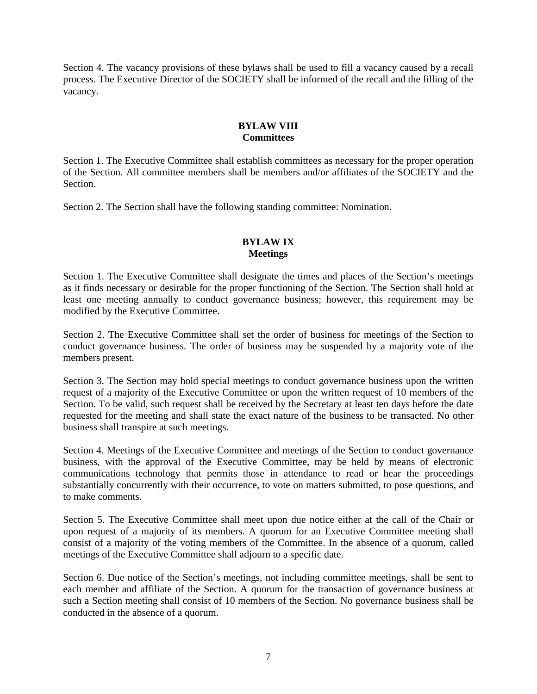Section 4. The vacancy provisions of these bylaws shall be used to fill a vacancy caused by a recall process. The Executive Director of the SOCIETY shall be informed of the recall and the filling of the vacancy.

#### **BYLAW VIII Committees**

Section 1. The Executive Committee shall establish committees as necessary for the proper operation of the Section. All committee members shall be members and/or affiliates of the SOCIETY and the Section.

Section 2. The Section shall have the following standing committee: Nomination.

## **BYLAW IX Meetings**

Section 1. The Executive Committee shall designate the times and places of the Section's meetings as it finds necessary or desirable for the proper functioning of the Section. The Section shall hold at least one meeting annually to conduct governance business; however, this requirement may be modified by the Executive Committee.

Section 2. The Executive Committee shall set the order of business for meetings of the Section to conduct governance business. The order of business may be suspended by a majority vote of the members present.

Section 3. The Section may hold special meetings to conduct governance business upon the written request of a majority of the Executive Committee or upon the written request of 10 members of the Section. To be valid, such request shall be received by the Secretary at least ten days before the date requested for the meeting and shall state the exact nature of the business to be transacted. No other business shall transpire at such meetings.

Section 4. Meetings of the Executive Committee and meetings of the Section to conduct governance business, with the approval of the Executive Committee, may be held by means of electronic communications technology that permits those in attendance to read or hear the proceedings substantially concurrently with their occurrence, to vote on matters submitted, to pose questions, and to make comments.

Section 5. The Executive Committee shall meet upon due notice either at the call of the Chair or upon request of a majority of its members. A quorum for an Executive Committee meeting shall consist of a majority of the voting members of the Committee. In the absence of a quorum, called meetings of the Executive Committee shall adjourn to a specific date.

Section 6. Due notice of the Section's meetings, not including committee meetings, shall be sent to each member and affiliate of the Section. A quorum for the transaction of governance business at such a Section meeting shall consist of 10 members of the Section. No governance business shall be conducted in the absence of a quorum.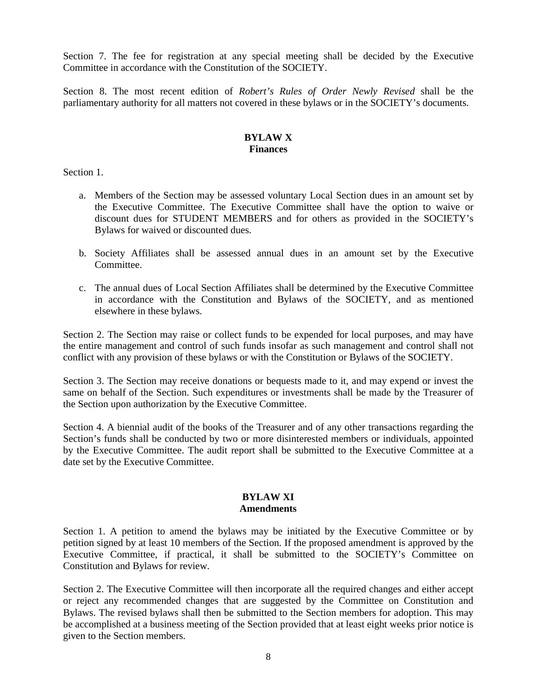Section 7. The fee for registration at any special meeting shall be decided by the Executive Committee in accordance with the Constitution of the SOCIETY.

Section 8. The most recent edition of *Robert's Rules of Order Newly Revised* shall be the parliamentary authority for all matters not covered in these bylaws or in the SOCIETY's documents.

## **BYLAW X Finances**

Section 1.

- a. Members of the Section may be assessed voluntary Local Section dues in an amount set by the Executive Committee. The Executive Committee shall have the option to waive or discount dues for STUDENT MEMBERS and for others as provided in the SOCIETY's Bylaws for waived or discounted dues.
- b. Society Affiliates shall be assessed annual dues in an amount set by the Executive Committee.
- c. The annual dues of Local Section Affiliates shall be determined by the Executive Committee in accordance with the Constitution and Bylaws of the SOCIETY, and as mentioned elsewhere in these bylaws.

Section 2. The Section may raise or collect funds to be expended for local purposes, and may have the entire management and control of such funds insofar as such management and control shall not conflict with any provision of these bylaws or with the Constitution or Bylaws of the SOCIETY.

Section 3. The Section may receive donations or bequests made to it, and may expend or invest the same on behalf of the Section. Such expenditures or investments shall be made by the Treasurer of the Section upon authorization by the Executive Committee.

Section 4. A biennial audit of the books of the Treasurer and of any other transactions regarding the Section's funds shall be conducted by two or more disinterested members or individuals, appointed by the Executive Committee. The audit report shall be submitted to the Executive Committee at a date set by the Executive Committee.

#### **BYLAW XI Amendments**

Section 1. A petition to amend the bylaws may be initiated by the Executive Committee or by petition signed by at least 10 members of the Section. If the proposed amendment is approved by the Executive Committee, if practical, it shall be submitted to the SOCIETY's Committee on Constitution and Bylaws for review.

Section 2. The Executive Committee will then incorporate all the required changes and either accept or reject any recommended changes that are suggested by the Committee on Constitution and Bylaws. The revised bylaws shall then be submitted to the Section members for adoption. This may be accomplished at a business meeting of the Section provided that at least eight weeks prior notice is given to the Section members.